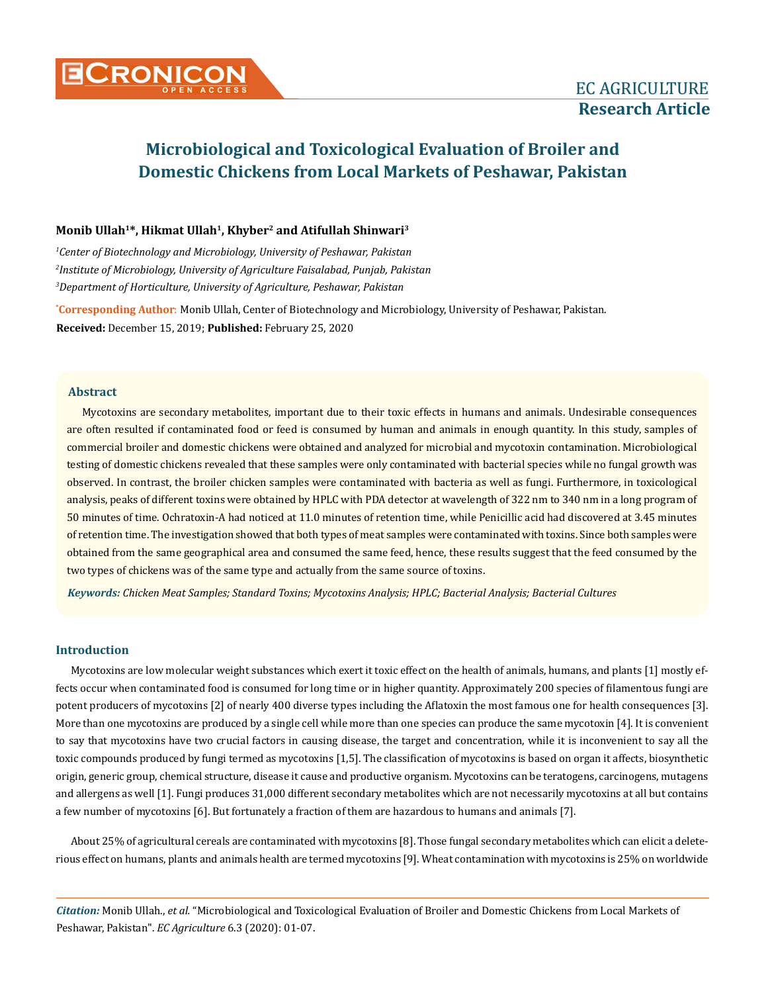# **Monib Ullah1\*, Hikmat Ullah1, Khyber2 and Atifullah Shinwari3**

*1 Center of Biotechnology and Microbiology, University of Peshawar, Pakistan 2 Institute of Microbiology, University of Agriculture Faisalabad, Punjab, Pakistan 3 Department of Horticulture, University of Agriculture, Peshawar, Pakistan*

**\* Corresponding Author**: Monib Ullah, Center of Biotechnology and Microbiology, University of Peshawar, Pakistan. **Received:** December 15, 2019; **Published:** February 25, 2020

# **Abstract**

Mycotoxins are secondary metabolites, important due to their toxic effects in humans and animals. Undesirable consequences are often resulted if contaminated food or feed is consumed by human and animals in enough quantity. In this study, samples of commercial broiler and domestic chickens were obtained and analyzed for microbial and mycotoxin contamination. Microbiological testing of domestic chickens revealed that these samples were only contaminated with bacterial species while no fungal growth was observed. In contrast, the broiler chicken samples were contaminated with bacteria as well as fungi. Furthermore, in toxicological analysis, peaks of different toxins were obtained by HPLC with PDA detector at wavelength of 322 nm to 340 nm in a long program of 50 minutes of time. Ochratoxin-A had noticed at 11.0 minutes of retention time, while Penicillic acid had discovered at 3.45 minutes of retention time. The investigation showed that both types of meat samples were contaminated with toxins. Since both samples were obtained from the same geographical area and consumed the same feed, hence, these results suggest that the feed consumed by the two types of chickens was of the same type and actually from the same source of toxins.

*Keywords: Chicken Meat Samples; Standard Toxins; Mycotoxins Analysis; HPLC; Bacterial Analysis; Bacterial Cultures*

# **Introduction**

Mycotoxins are low molecular weight substances which exert it toxic effect on the health of animals, humans, and plants [1] mostly effects occur when contaminated food is consumed for long time or in higher quantity. Approximately 200 species of filamentous fungi are potent producers of mycotoxins [2] of nearly 400 diverse types including the Aflatoxin the most famous one for health consequences [3]. More than one mycotoxins are produced by a single cell while more than one species can produce the same mycotoxin [4]. It is convenient to say that mycotoxins have two crucial factors in causing disease, the target and concentration, while it is inconvenient to say all the toxic compounds produced by fungi termed as mycotoxins [1,5]. The classification of mycotoxins is based on organ it affects, biosynthetic origin, generic group, chemical structure, disease it cause and productive organism. Mycotoxins can be teratogens, carcinogens, mutagens and allergens as well [1]. Fungi produces 31,000 different secondary metabolites which are not necessarily mycotoxins at all but contains a few number of mycotoxins [6]. But fortunately a fraction of them are hazardous to humans and animals [7].

About 25% of agricultural cereals are contaminated with mycotoxins [8]. Those fungal secondary metabolites which can elicit a deleterious effect on humans, plants and animals health are termed mycotoxins [9]. Wheat contamination with mycotoxins is 25% on worldwide

*Citation:* Monib Ullah., *et al.* "Microbiological and Toxicological Evaluation of Broiler and Domestic Chickens from Local Markets of Peshawar, Pakistan". *EC Agriculture* 6.3 (2020): 01-07.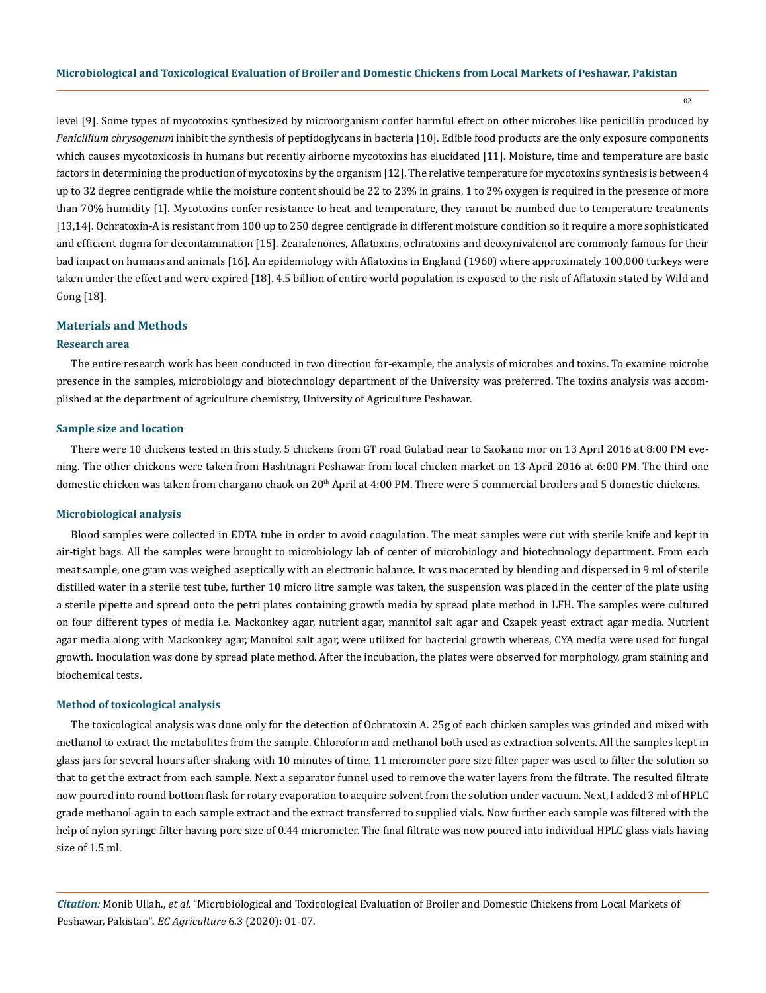level [9]. Some types of mycotoxins synthesized by microorganism confer harmful effect on other microbes like penicillin produced by *Penicillium chrysogenum* inhibit the synthesis of peptidoglycans in bacteria [10]. Edible food products are the only exposure components which causes mycotoxicosis in humans but recently airborne mycotoxins has elucidated [11]. Moisture, time and temperature are basic factors in determining the production of mycotoxins by the organism [12]. The relative temperature for mycotoxins synthesis is between 4 up to 32 degree centigrade while the moisture content should be 22 to 23% in grains, 1 to 2% oxygen is required in the presence of more than 70% humidity [1]. Mycotoxins confer resistance to heat and temperature, they cannot be numbed due to temperature treatments [13,14]. Ochratoxin-A is resistant from 100 up to 250 degree centigrade in different moisture condition so it require a more sophisticated and efficient dogma for decontamination [15]. Zearalenones, Aflatoxins, ochratoxins and deoxynivalenol are commonly famous for their bad impact on humans and animals [16]. An epidemiology with Aflatoxins in England (1960) where approximately 100,000 turkeys were taken under the effect and were expired [18]. 4.5 billion of entire world population is exposed to the risk of Aflatoxin stated by Wild and Gong [18].

#### **Materials and Methods**

#### **Research area**

The entire research work has been conducted in two direction for-example, the analysis of microbes and toxins. To examine microbe presence in the samples, microbiology and biotechnology department of the University was preferred. The toxins analysis was accomplished at the department of agriculture chemistry, University of Agriculture Peshawar.

#### **Sample size and location**

There were 10 chickens tested in this study, 5 chickens from GT road Gulabad near to Saokano mor on 13 April 2016 at 8:00 PM evening. The other chickens were taken from Hashtnagri Peshawar from local chicken market on 13 April 2016 at 6:00 PM. The third one domestic chicken was taken from chargano chaok on  $20<sup>th</sup>$  April at 4:00 PM. There were 5 commercial broilers and 5 domestic chickens.

#### **Microbiological analysis**

Blood samples were collected in EDTA tube in order to avoid coagulation. The meat samples were cut with sterile knife and kept in air-tight bags. All the samples were brought to microbiology lab of center of microbiology and biotechnology department. From each meat sample, one gram was weighed aseptically with an electronic balance. It was macerated by blending and dispersed in 9 ml of sterile distilled water in a sterile test tube, further 10 micro litre sample was taken, the suspension was placed in the center of the plate using a sterile pipette and spread onto the petri plates containing growth media by spread plate method in LFH. The samples were cultured on four different types of media i.e. Mackonkey agar, nutrient agar, mannitol salt agar and Czapek yeast extract agar media. Nutrient agar media along with Mackonkey agar, Mannitol salt agar, were utilized for bacterial growth whereas, CYA media were used for fungal growth. Inoculation was done by spread plate method. After the incubation, the plates were observed for morphology, gram staining and biochemical tests.

## **Method of toxicological analysis**

The toxicological analysis was done only for the detection of Ochratoxin A. 25g of each chicken samples was grinded and mixed with methanol to extract the metabolites from the sample. Chloroform and methanol both used as extraction solvents. All the samples kept in glass jars for several hours after shaking with 10 minutes of time. 11 micrometer pore size filter paper was used to filter the solution so that to get the extract from each sample. Next a separator funnel used to remove the water layers from the filtrate. The resulted filtrate now poured into round bottom flask for rotary evaporation to acquire solvent from the solution under vacuum. Next, I added 3 ml of HPLC grade methanol again to each sample extract and the extract transferred to supplied vials. Now further each sample was filtered with the help of nylon syringe filter having pore size of 0.44 micrometer. The final filtrate was now poured into individual HPLC glass vials having size of 1.5 ml.

*Citation:* Monib Ullah., *et al.* "Microbiological and Toxicological Evaluation of Broiler and Domestic Chickens from Local Markets of Peshawar, Pakistan". *EC Agriculture* 6.3 (2020): 01-07.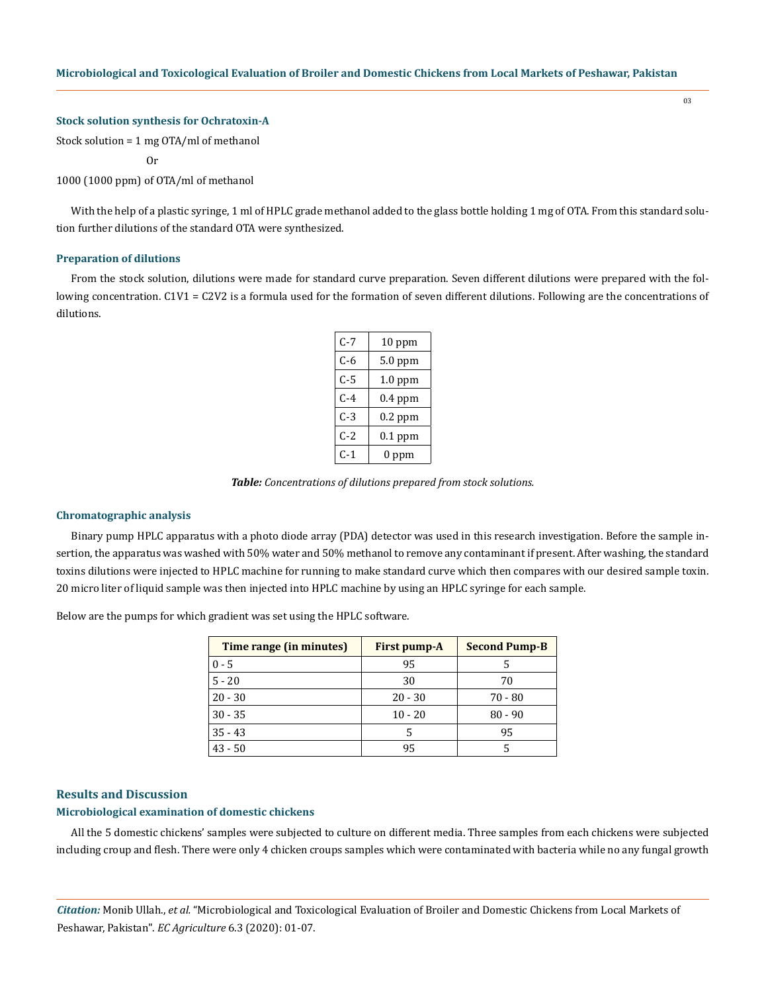# **Stock solution synthesis for Ochratoxin-A**

Stock solution = 1 mg OTA/ml of methanol

Or

1000 (1000 ppm) of OTA/ml of methanol

With the help of a plastic syringe, 1 ml of HPLC grade methanol added to the glass bottle holding 1 mg of OTA. From this standard solution further dilutions of the standard OTA were synthesized.

### **Preparation of dilutions**

From the stock solution, dilutions were made for standard curve preparation. Seven different dilutions were prepared with the following concentration. C1V1 = C2V2 is a formula used for the formation of seven different dilutions. Following are the concentrations of dilutions.

| C-7   | $10$ ppm  |  |  |  |  |
|-------|-----------|--|--|--|--|
| C-6   | 5.0 ppm   |  |  |  |  |
| $C-5$ | $1.0$ ppm |  |  |  |  |
| C-4   | $0.4$ ppm |  |  |  |  |
| $C-3$ | $0.2$ ppm |  |  |  |  |
| $C-2$ | $0.1$ ppm |  |  |  |  |
| $C-1$ | 0 ppm     |  |  |  |  |

*Table: Concentrations of dilutions prepared from stock solutions.*

#### **Chromatographic analysis**

Binary pump HPLC apparatus with a photo diode array (PDA) detector was used in this research investigation. Before the sample insertion, the apparatus was washed with 50% water and 50% methanol to remove any contaminant if present. After washing, the standard toxins dilutions were injected to HPLC machine for running to make standard curve which then compares with our desired sample toxin. 20 micro liter of liquid sample was then injected into HPLC machine by using an HPLC syringe for each sample.

Below are the pumps for which gradient was set using the HPLC software.

| Time range (in minutes) | <b>First pump-A</b> | <b>Second Pump-B</b> |
|-------------------------|---------------------|----------------------|
| $0 - 5$                 | 95                  |                      |
| $5 - 20$                | 30                  | 70                   |
| $20 - 30$               | $20 - 30$           | $70 - 80$            |
| $30 - 35$               | $10 - 20$           | $80 - 90$            |
| $35 - 43$               |                     | 95                   |
| $43 - 50$               | 95                  |                      |

#### **Results and Discussion**

## **Microbiological examination of domestic chickens**

All the 5 domestic chickens' samples were subjected to culture on different media. Three samples from each chickens were subjected including croup and flesh. There were only 4 chicken croups samples which were contaminated with bacteria while no any fungal growth

*Citation:* Monib Ullah., *et al.* "Microbiological and Toxicological Evaluation of Broiler and Domestic Chickens from Local Markets of Peshawar, Pakistan". *EC Agriculture* 6.3 (2020): 01-07.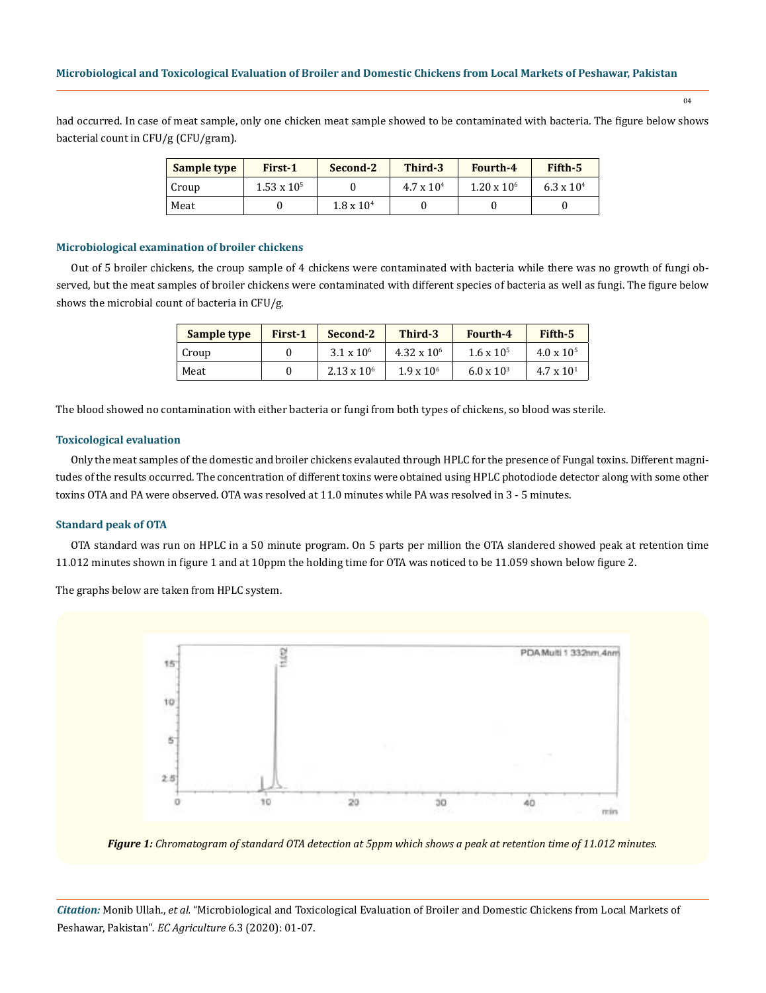had occurred. In case of meat sample, only one chicken meat sample showed to be contaminated with bacteria. The figure below shows bacterial count in CFU/g (CFU/gram).

| Sample type | First-1            | Second-2            | Third-3             | <b>Fourth-4</b>    | Fifth-5             |
|-------------|--------------------|---------------------|---------------------|--------------------|---------------------|
| Croup       | $1.53 \times 10^5$ |                     | $4.7 \times 10^{4}$ | $1.20 \times 10^6$ | $6.3 \times 10^{4}$ |
| Meat        |                    | $1.8 \times 10^{4}$ |                     |                    |                     |

#### **Microbiological examination of broiler chickens**

Out of 5 broiler chickens, the croup sample of 4 chickens were contaminated with bacteria while there was no growth of fungi observed, but the meat samples of broiler chickens were contaminated with different species of bacteria as well as fungi. The figure below shows the microbial count of bacteria in CFU/g.

| Sample type | First-1 | Second-2            | Third-3             | <b>Fourth-4</b>     | Fifth-5             |
|-------------|---------|---------------------|---------------------|---------------------|---------------------|
| Croup       |         | $3.1 \times 10^{6}$ | $4.32 \times 10^6$  | $1.6 \times 10^{5}$ | $4.0 \times 10^{5}$ |
| Meat        |         | $2.13 \times 10^6$  | $1.9 \times 10^{6}$ | $6.0 \times 10^{3}$ | $4.7 \times 10^{1}$ |

The blood showed no contamination with either bacteria or fungi from both types of chickens, so blood was sterile.

#### **Toxicological evaluation**

Only the meat samples of the domestic and broiler chickens evalauted through HPLC for the presence of Fungal toxins. Different magnitudes of the results occurred. The concentration of different toxins were obtained using HPLC photodiode detector along with some other toxins OTA and PA were observed. OTA was resolved at 11.0 minutes while PA was resolved in 3 - 5 minutes.

## **Standard peak of OTA**

OTA standard was run on HPLC in a 50 minute program. On 5 parts per million the OTA slandered showed peak at retention time 11.012 minutes shown in figure 1 and at 10ppm the holding time for OTA was noticed to be 11.059 shown below figure 2.

The graphs below are taken from HPLC system.



*Figure 1: Chromatogram of standard OTA detection at 5ppm which shows a peak at retention time of 11.012 minutes.*

*Citation:* Monib Ullah., *et al.* "Microbiological and Toxicological Evaluation of Broiler and Domestic Chickens from Local Markets of Peshawar, Pakistan". *EC Agriculture* 6.3 (2020): 01-07.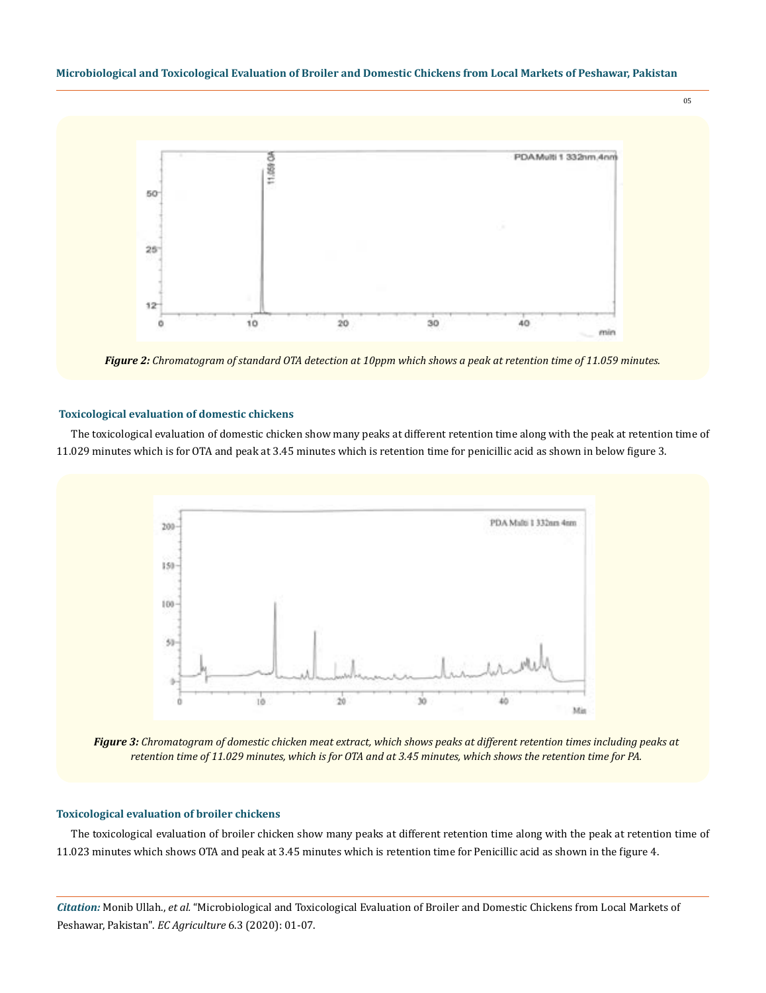

*Figure 2: Chromatogram of standard OTA detection at 10ppm which shows a peak at retention time of 11.059 minutes.* 

#### **Toxicological evaluation of domestic chickens**

The toxicological evaluation of domestic chicken show many peaks at different retention time along with the peak at retention time of 11.029 minutes which is for OTA and peak at 3.45 minutes which is retention time for penicillic acid as shown in below figure 3.



*Figure 3: Chromatogram of domestic chicken meat extract, which shows peaks at different retention times including peaks at retention time of 11.029 minutes, which is for OTA and at 3.45 minutes, which shows the retention time for PA.*

## **Toxicological evaluation of broiler chickens**

The toxicological evaluation of broiler chicken show many peaks at different retention time along with the peak at retention time of 11.023 minutes which shows OTA and peak at 3.45 minutes which is retention time for Penicillic acid as shown in the figure 4.

*Citation:* Monib Ullah., *et al.* "Microbiological and Toxicological Evaluation of Broiler and Domestic Chickens from Local Markets of Peshawar, Pakistan". *EC Agriculture* 6.3 (2020): 01-07.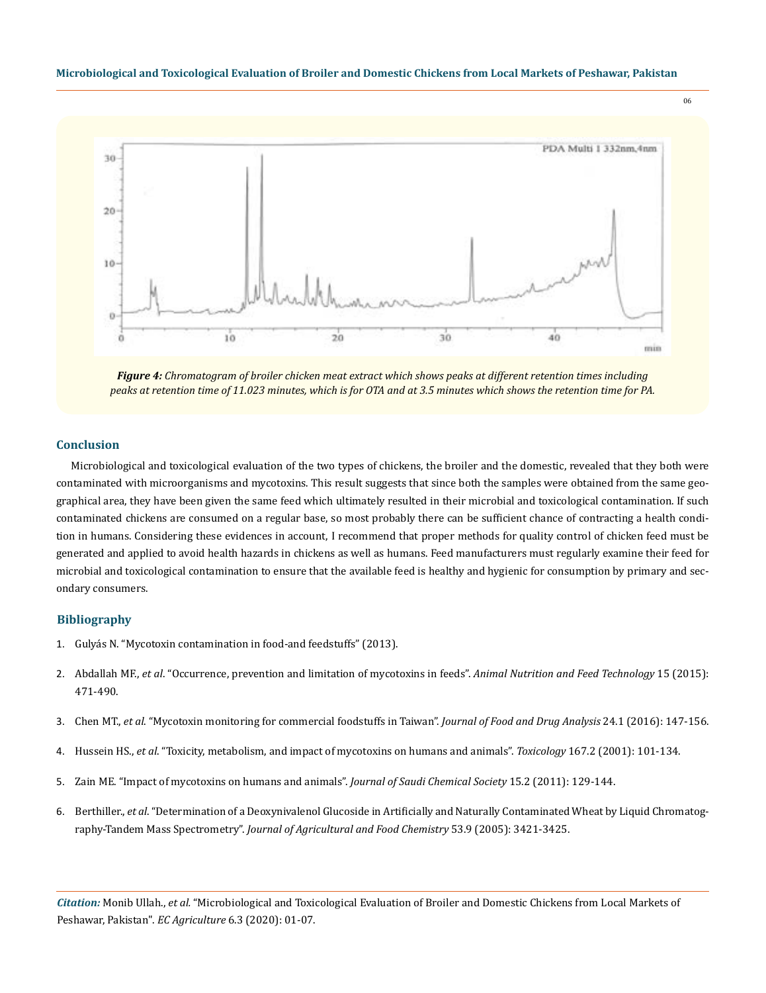

*Figure 4: Chromatogram of broiler chicken meat extract which shows peaks at different retention times including peaks at retention time of 11.023 minutes, which is for OTA and at 3.5 minutes which shows the retention time for PA.*

#### **Conclusion**

Microbiological and toxicological evaluation of the two types of chickens, the broiler and the domestic, revealed that they both were contaminated with microorganisms and mycotoxins. This result suggests that since both the samples were obtained from the same geographical area, they have been given the same feed which ultimately resulted in their microbial and toxicological contamination. If such contaminated chickens are consumed on a regular base, so most probably there can be sufficient chance of contracting a health condition in humans. Considering these evidences in account, I recommend that proper methods for quality control of chicken feed must be generated and applied to avoid health hazards in chickens as well as humans. Feed manufacturers must regularly examine their feed for microbial and toxicological contamination to ensure that the available feed is healthy and hygienic for consumption by primary and secondary consumers.

# **Bibliography**

- 1. Gulyás N. "Mycotoxin contamination in food-and feedstuffs" (2013).
- 2. Abdallah MF., *et al*[. "Occurrence, prevention and limitation of mycotoxins in feeds".](https://www.researchgate.net/publication/280041287_Occurrence_Prevention_and_Limitation_of_Mycotoxins_in_Feeds) *Animal Nutrition and Feed Technology* 15 (2015): [471-490.](https://www.researchgate.net/publication/280041287_Occurrence_Prevention_and_Limitation_of_Mycotoxins_in_Feeds)
- 3. Chen MT., *et al*[. "Mycotoxin monitoring for commercial foodstuffs in Taiwan".](https://www.sciencedirect.com/science/article/pii/S1021949815000836) *Journal of Food and Drug Analysis* 24.1 (2016): 147-156.
- 4. Hussein HS., *et al*[. "Toxicity, metabolism, and impact of mycotoxins on humans and animals".](https://www.ncbi.nlm.nih.gov/pubmed/11567776) *Toxicology* 167.2 (2001): 101-134.
- 5. [Zain ME. "Impact of mycotoxins on humans and animals".](https://www.sciencedirect.com/science/article/pii/S1319610310000827) *Journal of Saudi Chemical Society* 15.2 (2011): 129-144.
- 6. Berthiller., *et al*[. "Determination of a Deoxynivalenol Glucoside in Artificially and Naturally Contaminated Wheat by Liquid Chromatog](https://pubs.acs.org/doi/10.1021/jf047798g)raphy-Tandem Mass Spectrometry". *Journal of Agricultural and Food Chemistry* 53.9 (2005): 3421-3425.

*Citation:* Monib Ullah., *et al.* "Microbiological and Toxicological Evaluation of Broiler and Domestic Chickens from Local Markets of Peshawar, Pakistan". *EC Agriculture* 6.3 (2020): 01-07.